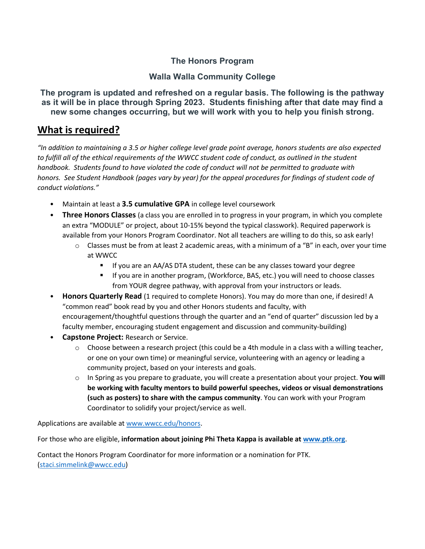## **The Honors Program**

## **Walla Walla Community College**

**The program is updated and refreshed on a regular basis. The following is the pathway as it will be in place through Spring 2023. Students finishing after that date may find a new some changes occurring, but we will work with you to help you finish strong.**

## **What is required?**

*"In addition to maintaining a 3.5 or higher college level grade point average, honors students are also expected to fulfill all of the ethical requirements of the WWCC student code of conduct, as outlined in the student handbook. Students found to have violated the code of conduct will not be permitted to graduate with honors. See Student Handbook (pages vary by year) for the appeal procedures for findings of student code of conduct violations."* 

- Maintain at least a **3.5 cumulative GPA** in college level coursework
- **Three Honors Classes** (a class you are enrolled in to progress in your program, in which you complete an extra "MODULE" or project, about 10-15% beyond the typical classwork). Required paperwork is available from your Honors Program Coordinator. Not all teachers are willing to do this, so ask early!
	- $\circ$  Classes must be from at least 2 academic areas, with a minimum of a "B" in each, over your time at WWCC
		- **If you are an AA/AS DTA student, these can be any classes toward your degree**
		- If you are in another program, (Workforce, BAS, etc.) you will need to choose classes from YOUR degree pathway, with approval from your instructors or leads.
- **Honors Quarterly Read** (1 required to complete Honors). You may do more than one, if desired! A "common read" book read by you and other Honors students and faculty, with encouragement/thoughtful questions through the quarter and an "end of quarter" discussion led by a faculty member, encouraging student engagement and discussion and community-building)
- **Capstone Project:** Research or Service.
	- $\circ$  Choose between a research project (this could be a 4th module in a class with a willing teacher, or one on your own time) or meaningful service, volunteering with an agency or leading a community project, based on your interests and goals.
	- o In Spring as you prepare to graduate, you will create a presentation about your project. **You will be working with faculty mentors to build powerful speeches, videos or visual demonstrations (such as posters) to share with the campus community**. You can work with your Program Coordinator to solidify your project/service as well.

Applications are available at [www.wwcc.edu/honors.](http://www.wwcc.edu/honors)

For those who are eligible, **information about joining Phi Theta Kappa is available a[t www.ptk.org](http://www.ptk.org/)**.

Contact the Honors Program Coordinator for more information or a nomination for PTK. [\(staci.simmelink@wwcc.edu\)](mailto:staci.simmelink@wwcc.edu)